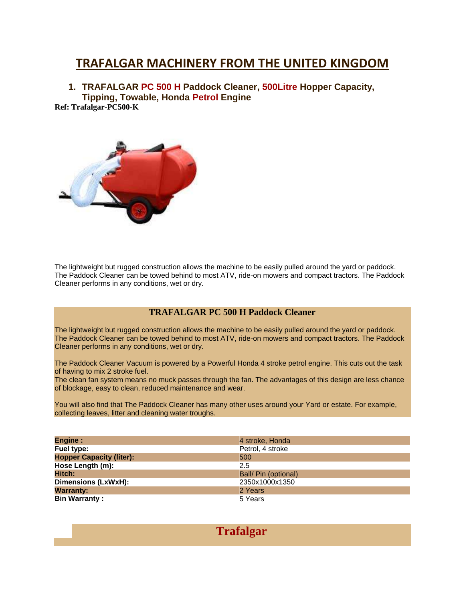## **TRAFALGAR MACHINERY FROM THE UNITED KINGDOM**

**1. TRAFALGAR PC 500 H Paddock Cleaner, 500Litre Hopper Capacity, Tipping, Towable, Honda Petrol Engine**

**Ref: Trafalgar-PC500-K**



The lightweight but rugged construction allows the machine to be easily pulled around the yard or paddock. The Paddock Cleaner can be towed behind to most ATV, ride-on mowers and compact tractors. The Paddock Cleaner performs in any conditions, wet or dry.

## **TRAFALGAR PC 500 H Paddock Cleaner**

The lightweight but rugged construction allows the machine to be easily pulled around the yard or paddock. The Paddock Cleaner can be towed behind to most ATV, ride-on mowers and compact tractors. The Paddock Cleaner performs in any conditions, wet or dry.

The Paddock Cleaner Vacuum is powered by a Powerful Honda 4 stroke petrol engine. This cuts out the task of having to mix 2 stroke fuel.

The clean fan system means no muck passes through the fan. The advantages of this design are less chance of blockage, easy to clean, reduced maintenance and wear.

You will also find that The Paddock Cleaner has many other uses around your Yard or estate. For example, collecting leaves, litter and cleaning water troughs.

| <b>Engine:</b>                  | 4 stroke, Honda      |
|---------------------------------|----------------------|
| Fuel type:                      | Petrol, 4 stroke     |
| <b>Hopper Capacity (liter):</b> | 500                  |
| Hose Length (m):                | 2.5                  |
| Hitch:                          | Ball/ Pin (optional) |
| Dimensions (LxWxH):             | 2350x1000x1350       |
| <b>Warranty:</b>                | 2 Years              |
| <b>Bin Warranty:</b>            | 5 Years              |